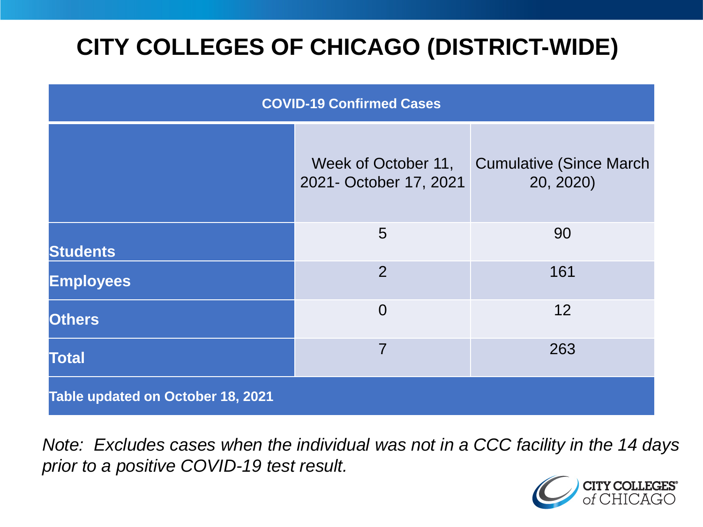# **CITY COLLEGES OF CHICAGO (DISTRICT-WIDE)**

| <b>COVID-19 Confirmed Cases</b>   |                                               |                                              |
|-----------------------------------|-----------------------------------------------|----------------------------------------------|
|                                   | Week of October 11,<br>2021- October 17, 2021 | <b>Cumulative (Since March)</b><br>20, 2020) |
| <b>Students</b>                   | 5                                             | 90                                           |
| <b>Employees</b>                  | 2                                             | 161                                          |
| <b>Others</b>                     | $\overline{0}$                                | 12                                           |
| <b>Total</b>                      | $\overline{7}$                                | 263                                          |
| Table updated on October 18, 2021 |                                               |                                              |

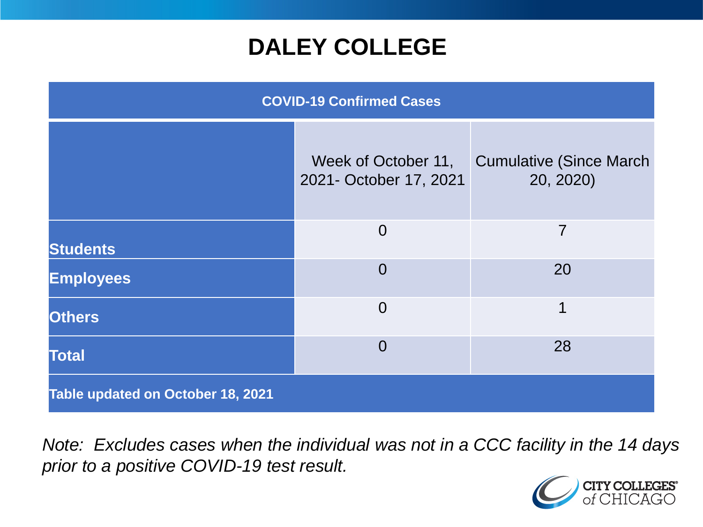### **DALEY COLLEGE**

| <b>COVID-19 Confirmed Cases</b>   |                                               |                                              |
|-----------------------------------|-----------------------------------------------|----------------------------------------------|
|                                   | Week of October 11,<br>2021- October 17, 2021 | <b>Cumulative (Since March)</b><br>20, 2020) |
| <b>Students</b>                   | $\overline{0}$                                | $\overline{7}$                               |
| <b>Employees</b>                  | $\Omega$                                      | 20                                           |
| <b>Others</b>                     | $\overline{0}$                                | 1                                            |
| <b>Total</b>                      | $\Omega$                                      | 28                                           |
| Table updated on October 18, 2021 |                                               |                                              |

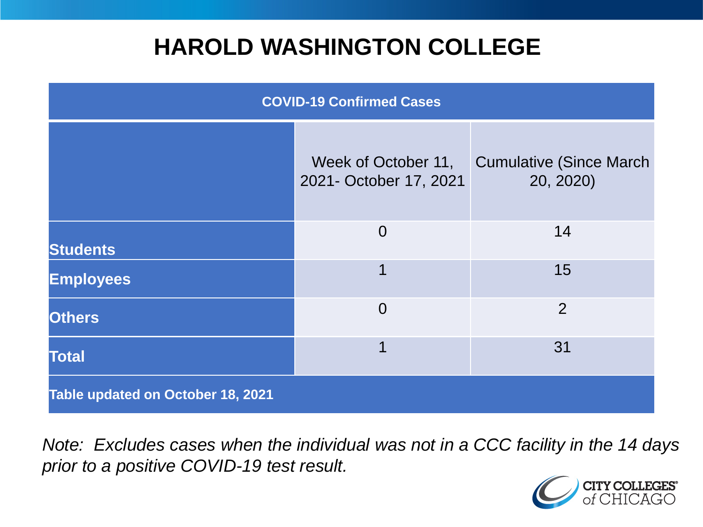### **HAROLD WASHINGTON COLLEGE**

| <b>COVID-19 Confirmed Cases</b>   |                                               |                                              |
|-----------------------------------|-----------------------------------------------|----------------------------------------------|
|                                   | Week of October 11,<br>2021- October 17, 2021 | <b>Cumulative (Since March)</b><br>20, 2020) |
| <b>Students</b>                   | $\overline{0}$                                | 14                                           |
| <b>Employees</b>                  | 1                                             | 15                                           |
| <b>Others</b>                     | $\overline{0}$                                | $\overline{2}$                               |
| <b>Total</b>                      | 1                                             | 31                                           |
| Table updated on October 18, 2021 |                                               |                                              |

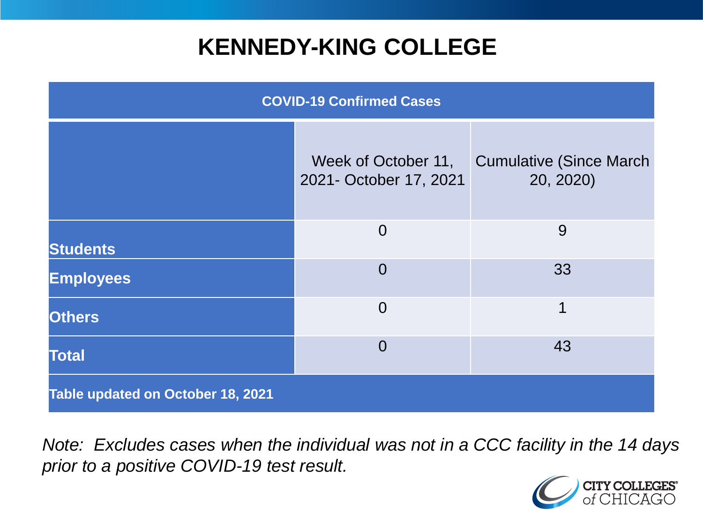### **KENNEDY-KING COLLEGE**

| <b>COVID-19 Confirmed Cases</b>   |                                               |                                              |
|-----------------------------------|-----------------------------------------------|----------------------------------------------|
|                                   | Week of October 11,<br>2021- October 17, 2021 | <b>Cumulative (Since March)</b><br>20, 2020) |
| <b>Students</b>                   | $\overline{0}$                                | 9                                            |
| <b>Employees</b>                  | $\overline{0}$                                | 33                                           |
| <b>Others</b>                     | $\overline{0}$                                | 1                                            |
| <b>Total</b>                      | $\overline{0}$                                | 43                                           |
| Table updated on October 18, 2021 |                                               |                                              |

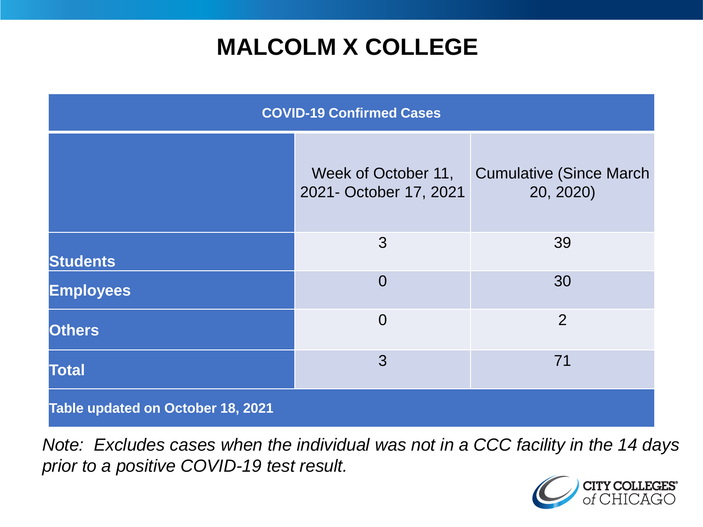# **MALCOLM X COLLEGE**

| <b>COVID-19 Confirmed Cases</b>   |                                               |                                              |
|-----------------------------------|-----------------------------------------------|----------------------------------------------|
|                                   | Week of October 11,<br>2021- October 17, 2021 | <b>Cumulative (Since March)</b><br>20, 2020) |
| <b>Students</b>                   | 3                                             | 39                                           |
| <b>Employees</b>                  | $\overline{0}$                                | 30                                           |
| <b>Others</b>                     | $\overline{0}$                                | $\overline{2}$                               |
| <b>Total</b>                      | 3                                             | 71                                           |
| Table updated on October 18, 2021 |                                               |                                              |

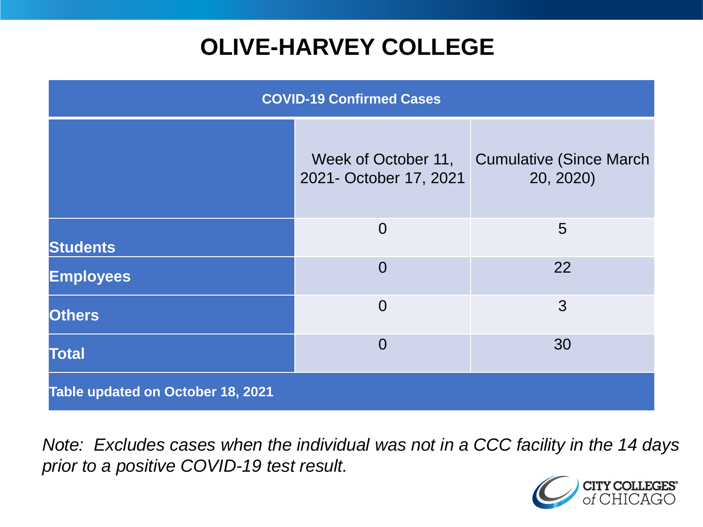# **OLIVE-HARVEY COLLEGE**

| <b>COVID-19 Confirmed Cases</b>   |                                               |                                              |
|-----------------------------------|-----------------------------------------------|----------------------------------------------|
|                                   | Week of October 11,<br>2021- October 17, 2021 | <b>Cumulative (Since March)</b><br>20, 2020) |
| <b>Students</b>                   | $\overline{0}$                                | 5                                            |
| <b>Employees</b>                  | $\Omega$                                      | 22                                           |
| <b>Others</b>                     | $\overline{0}$                                | 3                                            |
| <b>Total</b>                      | $\overline{0}$                                | 30                                           |
| Table updated on October 18, 2021 |                                               |                                              |

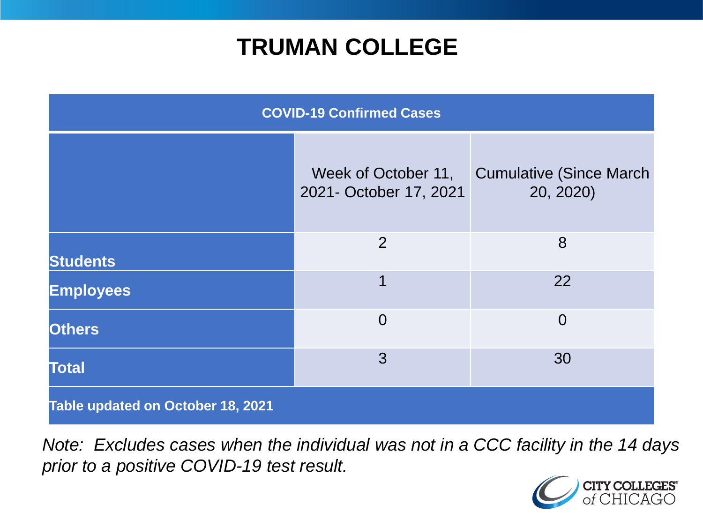### **TRUMAN COLLEGE**

| <b>COVID-19 Confirmed Cases</b>   |                                               |                                              |
|-----------------------------------|-----------------------------------------------|----------------------------------------------|
|                                   | Week of October 11,<br>2021- October 17, 2021 | <b>Cumulative (Since March)</b><br>20, 2020) |
| <b>Students</b>                   | $\overline{2}$                                | 8                                            |
| <b>Employees</b>                  | 1                                             | 22                                           |
| <b>Others</b>                     | $\overline{0}$                                | $\overline{0}$                               |
| <b>Total</b>                      | 3                                             | 30                                           |
| Table updated on October 18, 2021 |                                               |                                              |

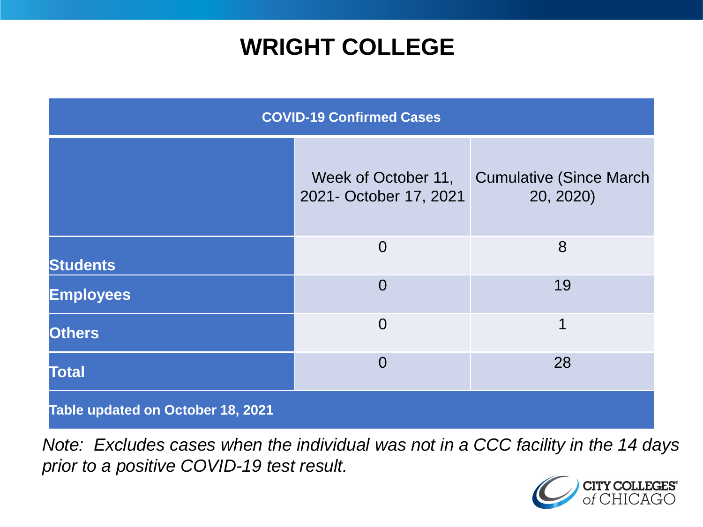### **WRIGHT COLLEGE**

| <b>COVID-19 Confirmed Cases</b>   |                                               |                                              |
|-----------------------------------|-----------------------------------------------|----------------------------------------------|
|                                   | Week of October 11,<br>2021- October 17, 2021 | <b>Cumulative (Since March)</b><br>20, 2020) |
| <b>Students</b>                   | $\overline{0}$                                | 8                                            |
| <b>Employees</b>                  | $\overline{0}$                                | 19                                           |
| <b>Others</b>                     | $\overline{0}$                                | 1                                            |
| <b>Total</b>                      | $\Omega$                                      | 28                                           |
| Table updated on October 18, 2021 |                                               |                                              |